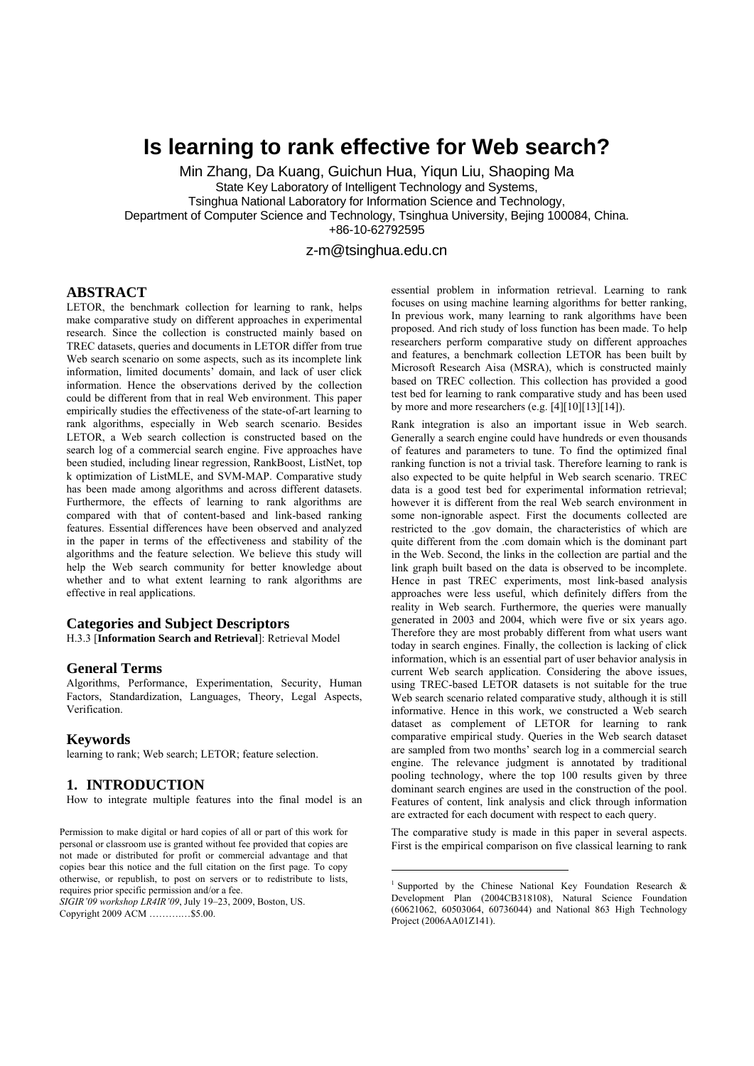# **Is learning to rank effective for Web search?**

Min Zhang, Da Kuang, Guichun Hua, Yiqun Liu, Shaoping Ma State Key Laboratory of Intelligent Technology and Systems, Tsinghua National Laboratory for Information Science and Technology, Department of Computer Science and Technology, Tsinghua University, Bejing 100084, China. +86-10-62792595

z-m@tsinghua.edu.cn

1

## **ABSTRACT**

LETOR, the benchmark collection for learning to rank, helps make comparative study on different approaches in experimental research. Since the collection is constructed mainly based on TREC datasets, queries and documents in LETOR differ from true Web search scenario on some aspects, such as its incomplete link information, limited documents' domain, and lack of user click information. Hence the observations derived by the collection could be different from that in real Web environment. This paper empirically studies the effectiveness of the state-of-art learning to rank algorithms, especially in Web search scenario. Besides LETOR, a Web search collection is constructed based on the search log of a commercial search engine. Five approaches have been studied, including linear regression, RankBoost, ListNet, top k optimization of ListMLE, and SVM-MAP. Comparative study has been made among algorithms and across different datasets. Furthermore, the effects of learning to rank algorithms are compared with that of content-based and link-based ranking features. Essential differences have been observed and analyzed in the paper in terms of the effectiveness and stability of the algorithms and the feature selection. We believe this study will help the Web search community for better knowledge about whether and to what extent learning to rank algorithms are effective in real applications.

#### **Categories and Subject Descriptors**

H.3.3 [**Information Search and Retrieval**]: Retrieval Model

#### **General Terms**

Algorithms, Performance, Experimentation, Security, Human Factors, Standardization, Languages, Theory, Legal Aspects, Verification.

#### **Keywords**

learning to rank; Web search; LETOR; feature selection.

#### **1. INTRODUCTION**

How to integrate multiple features into the final model is an

Permission to make digital or hard copies of all or part of this work for personal or classroom use is granted without fee provided that copies are not made or distributed for profit or commercial advantage and that copies bear this notice and the full citation on the first page. To copy otherwise, or republish, to post on servers or to redistribute to lists, requires prior specific permission and/or a fee.

*SIGIR'09 workshop LR4IR'09*, July 19–23, 2009, Boston, US. Copyright 2009 ACM ……….…\$5.00.

essential problem in information retrieval. Learning to rank focuses on using machine learning algorithms for better ranking, In previous work, many learning to rank algorithms have been proposed. And rich study of loss function has been made. To help researchers perform comparative study on different approaches and features, a benchmark collection LETOR has been built by Microsoft Research Aisa (MSRA), which is constructed mainly based on TREC collection. This collection has provided a good test bed for learning to rank comparative study and has been used by more and more researchers (e.g.  $[4][10][13][14]$ ).

Rank integration is also an important issue in Web search. Generally a search engine could have hundreds or even thousands of features and parameters to tune. To find the optimized final ranking function is not a trivial task. Therefore learning to rank is also expected to be quite helpful in Web search scenario. TREC data is a good test bed for experimental information retrieval; however it is different from the real Web search environment in some non-ignorable aspect. First the documents collected are restricted to the .gov domain, the characteristics of which are quite different from the .com domain which is the dominant part in the Web. Second, the links in the collection are partial and the link graph built based on the data is observed to be incomplete. Hence in past TREC experiments, most link-based analysis approaches were less useful, which definitely differs from the reality in Web search. Furthermore, the queries were manually generated in 2003 and 2004, which were five or six years ago. Therefore they are most probably different from what users want today in search engines. Finally, the collection is lacking of click information, which is an essential part of user behavior analysis in current Web search application. Considering the above issues, using TREC-based LETOR datasets is not suitable for the true Web search scenario related comparative study, although it is still informative. Hence in this work, we constructed a Web search dataset as complement of LETOR for learning to rank comparative empirical study. Queries in the Web search dataset are sampled from two months' search log in a commercial search engine. The relevance judgment is annotated by traditional pooling technology, where the top 100 results given by three dominant search engines are used in the construction of the pool. Features of content, link analysis and click through information are extracted for each document with respect to each query.

The comparative study is made in this paper in several aspects. First is the empirical comparison on five classical learning to rank

<sup>&</sup>lt;sup>1</sup> Supported by the Chinese National Key Foundation Research  $\&$ Development Plan (2004CB318108), Natural Science Foundation (60621062, 60503064, 60736044) and National 863 High Technology Project (2006AA01Z141).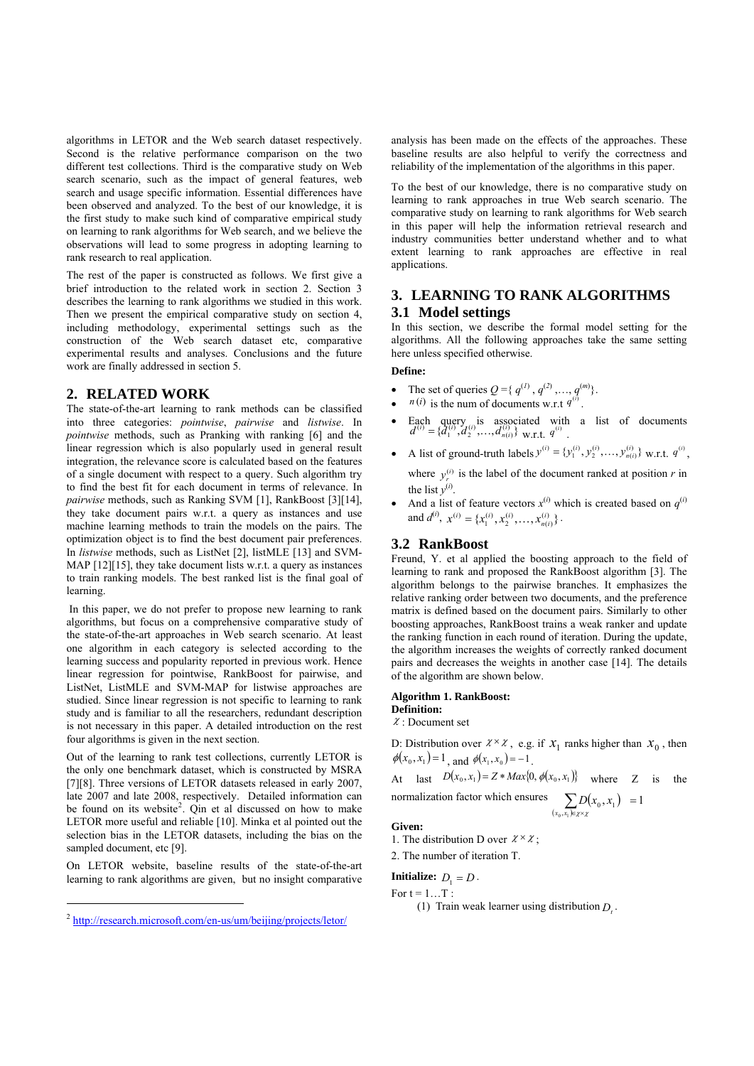algorithms in LETOR and the Web search dataset respectively. Second is the relative performance comparison on the two different test collections. Third is the comparative study on Web search scenario, such as the impact of general features, web search and usage specific information. Essential differences have been observed and analyzed. To the best of our knowledge, it is the first study to make such kind of comparative empirical study on learning to rank algorithms for Web search, and we believe the observations will lead to some progress in adopting learning to rank research to real application.

The rest of the paper is constructed as follows. We first give a brief introduction to the related work in section 2. Section 3 describes the learning to rank algorithms we studied in this work. Then we present the empirical comparative study on section 4, including methodology, experimental settings such as the construction of the Web search dataset etc, comparative experimental results and analyses. Conclusions and the future work are finally addressed in section 5.

## **2. RELATED WORK**

The state-of-the-art learning to rank methods can be classified into three categories: *pointwise*, *pairwise* and *listwise*. In *pointwise* methods, such as Pranking with ranking [6] and the linear regression which is also popularly used in general result integration, the relevance score is calculated based on the features of a single document with respect to a query. Such algorithm try to find the best fit for each document in terms of relevance. In *pairwise* methods, such as Ranking SVM [1], RankBoost [3][14], they take document pairs w.r.t. a query as instances and use machine learning methods to train the models on the pairs. The optimization object is to find the best document pair preferences. In *listwise* methods, such as ListNet [2], listMLE [13] and SVM-MAP [12][15], they take document lists w.r.t. a query as instances to train ranking models. The best ranked list is the final goal of learning.

 In this paper, we do not prefer to propose new learning to rank algorithms, but focus on a comprehensive comparative study of the state-of-the-art approaches in Web search scenario. At least one algorithm in each category is selected according to the learning success and popularity reported in previous work. Hence linear regression for pointwise, RankBoost for pairwise, and ListNet, ListMLE and SVM-MAP for listwise approaches are studied. Since linear regression is not specific to learning to rank study and is familiar to all the researchers, redundant description is not necessary in this paper. A detailed introduction on the rest four algorithms is given in the next section.

Out of the learning to rank test collections, currently LETOR is the only one benchmark dataset, which is constructed by MSRA [7][8]. Three versions of LETOR datasets released in early 2007, late 2007 and late 2008, respectively. Detailed information can be found on its website<sup>2</sup>. Qin et al discussed on how to make LETOR more useful and reliable [10]. Minka et al pointed out the selection bias in the LETOR datasets, including the bias on the sampled document, etc [9].

On LETOR website, baseline results of the state-of-the-art learning to rank algorithms are given, but no insight comparative

1

analysis has been made on the effects of the approaches. These baseline results are also helpful to verify the correctness and reliability of the implementation of the algorithms in this paper.

To the best of our knowledge, there is no comparative study on learning to rank approaches in true Web search scenario. The comparative study on learning to rank algorithms for Web search in this paper will help the information retrieval research and industry communities better understand whether and to what extent learning to rank approaches are effective in real applications.

## **3. LEARNING TO RANK ALGORITHMS 3.1 Model settings**

In this section, we describe the formal model setting for the algorithms. All the following approaches take the same setting here unless specified otherwise.

#### **Define:**

- The set of queries  $Q = \{q^{(1)}, q^{(2)}, \ldots, q^{(m)}\}.$
- *n*(*i*) is the num of documents w.r.t  $q^{(i)}$ .
- Each query is associated with a list of documents  $d^{(i)} = \{d_1^{(i)}, d_2^{(i)}, \dots, d_{n(i)}^{(i)}\}$  w.r.t.  $q^{(i)}$ .
- A list of ground-truth labels  $y^{(i)} = \{y_1^{(i)}, y_2^{(i)}, \dots, y_{n(i)}^{(i)}\}$  w.r.t.  $q^{(i)}$ , where  $y_r^{(i)}$  is the label of the document ranked at position *r* in the list  $y^{(i)}$ .
- And a list of feature vectors  $x^{(i)}$  which is created based on  $q^{(i)}$ and  $d^{(i)}$ ,  $x^{(i)} = \{x_1^{(i)}, x_2^{(i)}, \dots, x_{n(i)}^{(i)}\}$ .

#### **3.2 RankBoost**

Freund, Y. et al applied the boosting approach to the field of learning to rank and proposed the RankBoost algorithm [3]. The algorithm belongs to the pairwise branches. It emphasizes the relative ranking order between two documents, and the preference matrix is defined based on the document pairs. Similarly to other boosting approaches, RankBoost trains a weak ranker and update the ranking function in each round of iteration. During the update, the algorithm increases the weights of correctly ranked document pairs and decreases the weights in another case [14]. The details of the algorithm are shown below.

#### **Algorithm 1. RankBoost:**

**Definition:** 

 $\chi$ : Document set

D: Distribution over  $\chi \times \chi$ , e.g. if  $\chi$  ranks higher than  $\chi$ <sub>0</sub>, then  $\phi(x_0, x_1) = 1$ , and  $\phi(x_1, x_0) = -1$ .

At last 
$$
D(x_0, x_1) = Z * Max\{0, \phi(x_0, x_1)\}
$$
 where Z is the

normalization factor which ensures\n
$$
\sum_{(x_0, x_1) \in \chi \times \chi} D(x_0, x_1) = 1
$$

#### **Given:**

1. The distribution D over  $\chi \times \chi$ ;

2. The number of iteration T.

## **Initialize:**  $D_1 = D$ .

For  $t = 1...T$ :

(1) Train weak learner using distribution  $D_t$ .

<sup>2</sup> http://research.microsoft.com/en-us/um/beijing/projects/letor/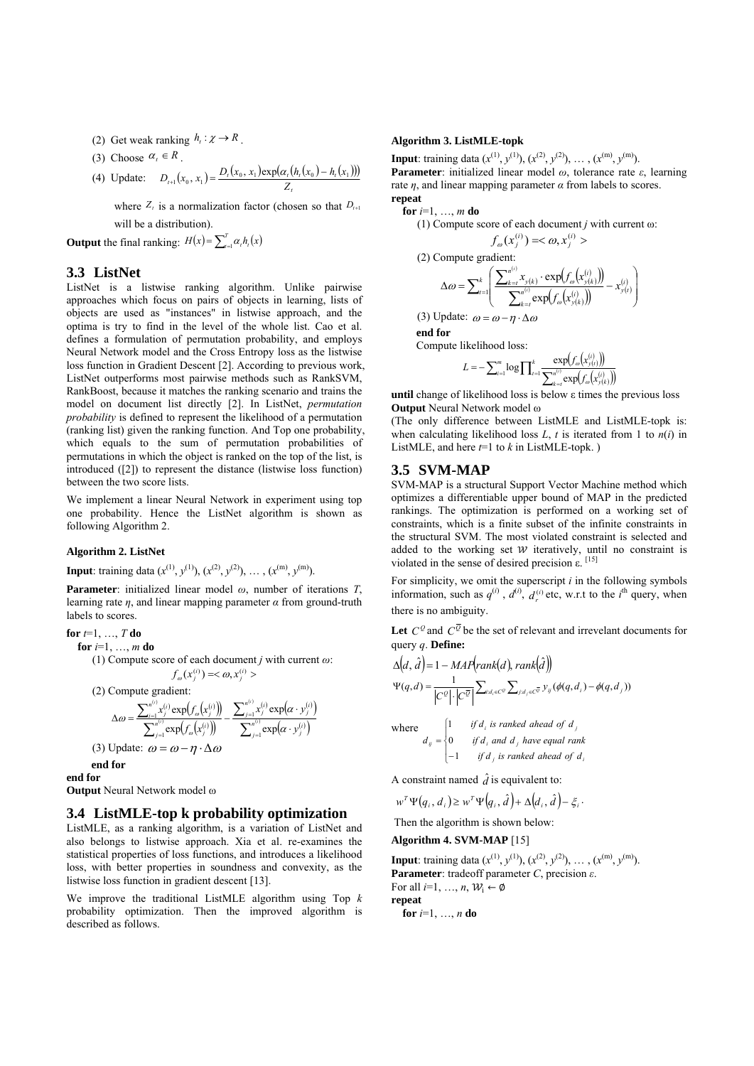- (2) Get weak ranking  $h_t : \chi \rightarrow R$ .
- (3) Choose  $\alpha_t \in R$ .
- (4) Update:  $D_{t+1}(x_0, x_1) = \frac{D_t(x_0, x_1) \exp(\alpha_t (h_t(x_0) h_t(x_1)))}{\sum_{i=1}^n (h_t(x_i) h_t(x_1)))}$ *t*  $D_{t+1}(x_0, x_1) = \frac{D_t(x_0, x_1) \exp(\alpha_t(h_t(x_0) - h_t(x_1))}{Z_t}$

where  $Z_t$  is a normalization factor (chosen so that  $D_{t+1}$ ) will be a distribution).

**Output** the final ranking:  $H(x) = \sum_{i=1}^{T} \alpha_i h_i(x)$ 

#### **3.3 ListNet**

ListNet is a listwise ranking algorithm. Unlike pairwise approaches which focus on pairs of objects in learning, lists of objects are used as "instances" in listwise approach, and the optima is try to find in the level of the whole list. Cao et al. defines a formulation of permutation probability, and employs Neural Network model and the Cross Entropy loss as the listwise loss function in Gradient Descent [2]. According to previous work, ListNet outperforms most pairwise methods such as RankSVM, RankBoost, because it matches the ranking scenario and trains the model on document list directly [2]. In ListNet, *permutation probability* is defined to represent the likelihood of a permutation (ranking list) given the ranking function. And Top one probability, which equals to the sum of permutation probabilities of permutations in which the object is ranked on the top of the list, is introduced ([2]) to represent the distance (listwise loss function) between the two score lists.

We implement a linear Neural Network in experiment using top one probability. Hence the ListNet algorithm is shown as following Algorithm 2.

#### **Algorithm 2. ListNet**

**Input**: training data  $(x^{(1)}, y^{(1)}), (x^{(2)}, y^{(2)}), \ldots, (x^{(m)}, y^{(m)})$ .

**Parameter**: initialized linear model *ω*, number of iterations *T*, learning rate  $\eta$ , and linear mapping parameter  $\alpha$  from ground-truth labels to scores.

**for** *t*=1, …, *T* **do**

**for** *i*=1, …, *m* **do**

(1) Compute score of each document *j* with current *ω*:

*i j*

*y*

α

$$
f_{\omega}(x_i^{(i)}) = <\omega, x_i^{(i)}>
$$

(2) Compute gradient:  
\n
$$
\Delta \omega = \frac{\sum_{i=1}^{n^{(i)}} x_i^{(i)} \exp(f_{\omega}(x_i^{(i)}))}{\sum_{i=1}^{n^{(i)}} \exp(f_{\omega}(x_i^{(i)}))} - \frac{\sum_{j=1}^{n^{(i)}} x_j^{(i)} \exp(\alpha \cdot y_j^{(i)})}{\sum_{i=1}^{n^{(i)}} \exp(\alpha \cdot y_j^{(i)})}
$$

$$
\sum_{j=1}^{n^{(i)}} \exp(f_{\omega}(\mathbf{x}_{j}^{(i)})) \qquad \sum_{j=1}^{n^{(i)}} \exp(\alpha \cdot y_{j}^{(i)})
$$
  
(3) Update:  $\omega = \omega - \eta \cdot \Delta \omega$ 

**end for end for** 

**Output** Neural Network model ω

#### **3.4 ListMLE-top k probability optimization**

ListMLE, as a ranking algorithm, is a variation of ListNet and also belongs to listwise approach. Xia et al. re-examines the statistical properties of loss functions, and introduces a likelihood loss, with better properties in soundness and convexity, as the listwise loss function in gradient descent [13].

We improve the traditional ListMLE algorithm using Top *k*  probability optimization. Then the improved algorithm is described as follows.

#### **Algorithm 3. ListMLE-topk**

**Input**: training data  $(x^{(1)}, y^{(1)}), (x^{(2)}, y^{(2)}), \ldots, (x^{(m)}, y^{(m)})$ . **Parameter**: initialized linear model *ω*, tolerance rate *ε*, learning rate  $\eta$ , and linear mapping parameter  $\alpha$  from labels to scores. **repeat** 

**for** *i*=1, …, *m* **do**

(1) Compute score of each document *j* with current 
$$
\omega
$$
:  
\n
$$
f_{\omega}(x_j^{(i)}) = \langle \omega, x_j^{(i)} \rangle
$$

(2) Compute gradient:

$$
\Delta \omega = \sum_{t=1}^{k} \left( \frac{\sum_{k=t}^{n^{(t)}} x_{y(k)} \cdot \exp(f_{\omega}(\mathbf{x}_{y(k)}^{(t)}))}{\sum_{k=t}^{n^{(t)}} \exp(f_{\omega}(\mathbf{x}_{y(k)}^{(t)}))} - x_{y(t)}^{(t)} \right)
$$

(3) Update:  $\omega = \omega - \eta \cdot \Delta \omega$ 

**end for** 

Compute likelihood loss:

$$
L = -\sum\nolimits_{i = 1}^m {\log \prod\nolimits_{\tau = 1}^k {\frac{{\exp ({f_{\mathscr{D}}}\left( {x_{\mathscr{Y}(t)}^{\left( i \right)}} \right)}}{{\sum\nolimits_{k = t}^{{n^{(i)}}} {\exp ({f_{\mathscr{D}}}\left( {x_{\mathscr{Y}(k)}^{\left( i \right)}} \right)} }}} }
$$

**until** change of likelihood loss is below ε times the previous loss **Output** Neural Network model ω

(The only difference between ListMLE and ListMLE-topk is: when calculating likelihood loss  $L$ ,  $t$  is iterated from 1 to  $n(i)$  in ListMLE, and here  $t=1$  to  $k$  in ListMLE-topk. )

### **3.5 SVM-MAP**

SVM-MAP is a structural Support Vector Machine method which optimizes a differentiable upper bound of MAP in the predicted rankings. The optimization is performed on a working set of constraints, which is a finite subset of the infinite constraints in the structural SVM. The most violated constraint is selected and added to the working set  $W$  iteratively, until no constraint is violated in the sense of desired precision ε.  $[15]$ 

For simplicity, we omit the superscript *i* in the following symbols information, such as  $q^{(i)}$ ,  $d^{(i)}$ ,  $d_r^{(i)}$  etc, w.r.t to the  $i^{\text{th}}$  query, when there is no ambiguity.

Let  $C^{\mathcal{Q}}$  and  $C^{\overline{\mathcal{Q}}}$  be the set of relevant and irrevelant documents for query *q*. **Define:**

$$
\Delta\left(d, \hat{d}\right) = 1 - MAP\left(\operatorname{rank}\left(d\right), \operatorname{rank}\left(\hat{d}\right)\right)
$$
\n
$$
\Psi(q, d) = \frac{1}{\left|C^{\mathcal{Q}}\right| \cdot \left|C^{\overline{\mathcal{Q}}}\right|} \sum_{i:d_i \in C^{\mathcal{Q}}} \sum_{j:d_j \in C^{\overline{\mathcal{Q}}}} y_{ij} \left(\phi(q, d_i) - \phi(q, d_j)\right)
$$
\n
$$
\text{where}
$$
\n
$$
d_{ij} = \begin{cases}\n1 & \text{if } d_i \text{ is ranked ahead of } d_j \\
0 & \text{if } d_i \text{ and } d_j \text{ have equal rank} \\
-1 & \text{if } d_j \text{ is ranked ahead of } d_i\n\end{cases}
$$

A constraint named  $\hat{d}$  is equivalent to:

$$
w^T \Psi(q_i, d_i) \geq w^T \Psi(q_i, \hat{d}) + \Delta(d_i, \hat{d}) - \xi_i.
$$

Then the algorithm is shown below:

**Algorithm 4. SVM-MAP** [15]

**Input**: training data  $(x^{(1)}, y^{(1)}), (x^{(2)}, y^{(2)}), \ldots, (x^{(m)}, y^{(m)})$ . **Parameter**: tradeoff parameter *C*, precision *ε*. For all  $i=1, ..., n$ ,  $W_i \leftarrow \emptyset$ **repeat**

**for** 
$$
i=1, ..., n
$$
 **do**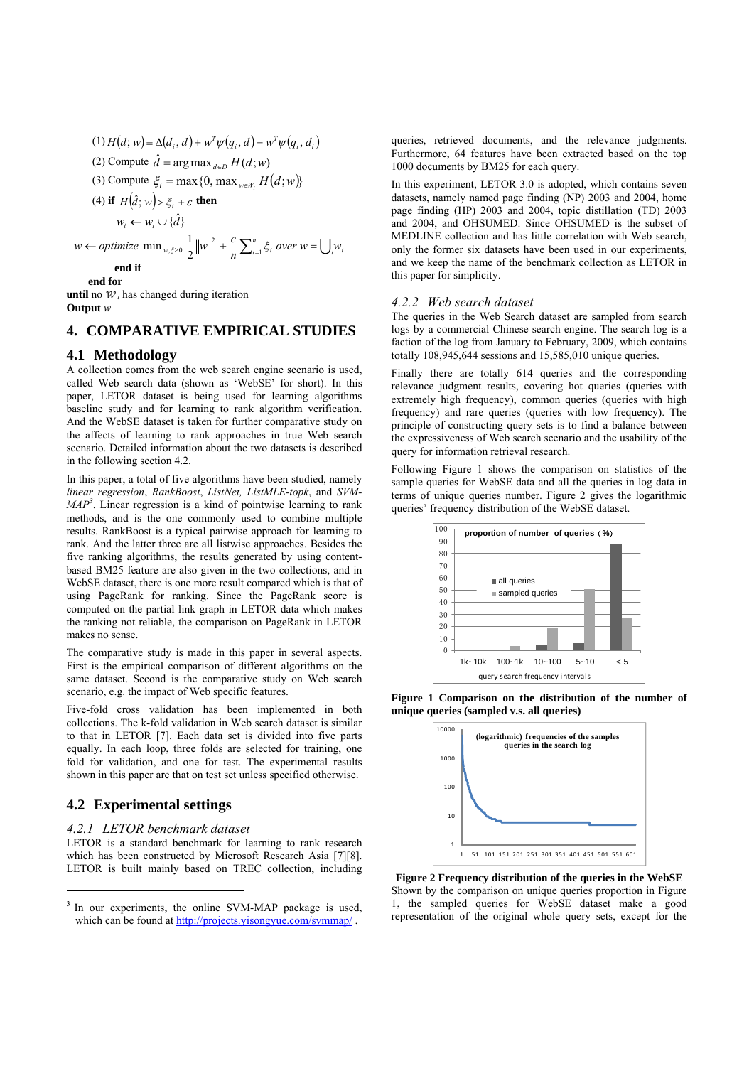(1) 
$$
H(d; w) = \Delta(d_i, d) + w^T \psi(q_i, d) - w^T \psi(q_i, d_i)
$$
  
\n(2) Compute  $\hat{d} = \arg \max_{d \in D} H(d; w)$   
\n(3) Compute  $\xi_i = \max\{0, \max_{w \in W_i} H(d; w)\}$   
\n(4) if  $H(\hat{d}; w) > \xi_i + \varepsilon$  then  
\n $w_i \leftarrow w_i \cup \{\hat{d}\}$   
\n $w \leftarrow \text{ optimize } \min_{w, \xi \ge 0} \frac{1}{2} ||w||^2 + \frac{c}{n} \sum_{i=1}^n \xi_i \text{ over } w = \bigcup_i w_i$   
\nend if  
\nend for

**until** no  $W_i$  has changed during iteration **Output** *w*

# **4. COMPARATIVE EMPIRICAL STUDIES**

## **4.1 Methodology**

A collection comes from the web search engine scenario is used, called Web search data (shown as 'WebSE' for short). In this paper, LETOR dataset is being used for learning algorithms baseline study and for learning to rank algorithm verification. And the WebSE dataset is taken for further comparative study on the affects of learning to rank approaches in true Web search scenario. Detailed information about the two datasets is described in the following section 4.2.

In this paper, a total of five algorithms have been studied, namely *linear regression*, *RankBoost*, *ListNet, ListMLE-topk*, and *SVM-* $MAP<sup>3</sup>$ . Linear regression is a kind of pointwise learning to rank methods, and is the one commonly used to combine multiple results. RankBoost is a typical pairwise approach for learning to rank. And the latter three are all listwise approaches. Besides the five ranking algorithms, the results generated by using contentbased BM25 feature are also given in the two collections, and in WebSE dataset, there is one more result compared which is that of using PageRank for ranking. Since the PageRank score is computed on the partial link graph in LETOR data which makes the ranking not reliable, the comparison on PageRank in LETOR makes no sense.

The comparative study is made in this paper in several aspects. First is the empirical comparison of different algorithms on the same dataset. Second is the comparative study on Web search scenario, e.g. the impact of Web specific features.

Five-fold cross validation has been implemented in both collections. The k-fold validation in Web search dataset is similar to that in LETOR [7]. Each data set is divided into five parts equally. In each loop, three folds are selected for training, one fold for validation, and one for test. The experimental results shown in this paper are that on test set unless specified otherwise.

# **4.2 Experimental settings**

1

#### *4.2.1 LETOR benchmark dataset*

LETOR is a standard benchmark for learning to rank research which has been constructed by Microsoft Research Asia [7][8]. LETOR is built mainly based on TREC collection, including

queries, retrieved documents, and the relevance judgments. Furthermore, 64 features have been extracted based on the top 1000 documents by BM25 for each query.

In this experiment, LETOR 3.0 is adopted, which contains seven datasets, namely named page finding (NP) 2003 and 2004, home page finding (HP) 2003 and 2004, topic distillation (TD) 2003 and 2004, and OHSUMED. Since OHSUMED is the subset of MEDLINE collection and has little correlation with Web search, only the former six datasets have been used in our experiments, and we keep the name of the benchmark collection as LETOR in this paper for simplicity.

#### *4.2.2 Web search dataset*

The queries in the Web Search dataset are sampled from search logs by a commercial Chinese search engine. The search log is a faction of the log from January to February, 2009, which contains totally 108,945,644 sessions and 15,585,010 unique queries.

Finally there are totally 614 queries and the corresponding relevance judgment results, covering hot queries (queries with extremely high frequency), common queries (queries with high frequency) and rare queries (queries with low frequency). The principle of constructing query sets is to find a balance between the expressiveness of Web search scenario and the usability of the query for information retrieval research.

Following Figure 1 shows the comparison on statistics of the sample queries for WebSE data and all the queries in log data in terms of unique queries number. Figure 2 gives the logarithmic queries' frequency distribution of the WebSE dataset.







**Figure 2 Frequency distribution of the queries in the WebSE**  Shown by the comparison on unique queries proportion in Figure 1, the sampled queries for WebSE dataset make a good representation of the original whole query sets, except for the

In our experiments, the online SVM-MAP package is used, which can be found at http://projects.yisongyue.com/symmap/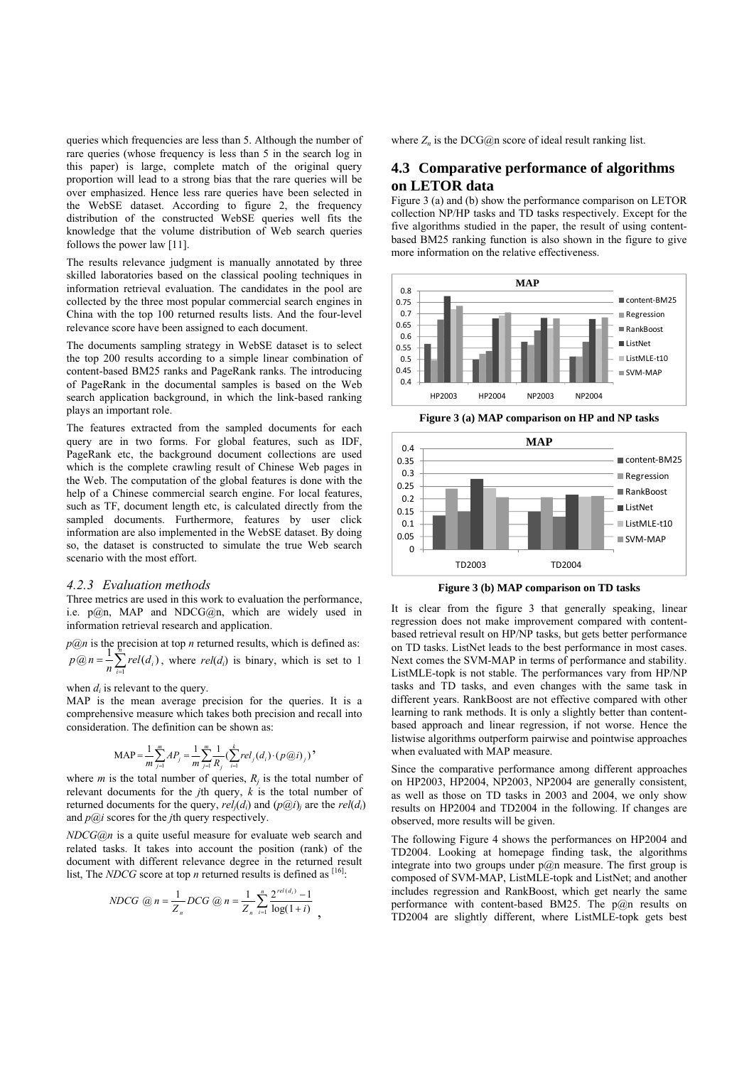queries which frequencies are less than 5. Although the number of rare queries (whose frequency is less than 5 in the search log in this paper) is large, complete match of the original query proportion will lead to a strong bias that the rare queries will be over emphasized. Hence less rare queries have been selected in the WebSE dataset. According to figure 2, the frequency distribution of the constructed WebSE queries well fits the knowledge that the volume distribution of Web search queries follows the power law [11].

The results relevance judgment is manually annotated by three skilled laboratories based on the classical pooling techniques in information retrieval evaluation. The candidates in the pool are collected by the three most popular commercial search engines in China with the top 100 returned results lists. And the four-level relevance score have been assigned to each document.

The documents sampling strategy in WebSE dataset is to select the top 200 results according to a simple linear combination of content-based BM25 ranks and PageRank ranks. The introducing of PageRank in the documental samples is based on the Web search application background, in which the link-based ranking plays an important role.

The features extracted from the sampled documents for each query are in two forms. For global features, such as IDF, PageRank etc, the background document collections are used which is the complete crawling result of Chinese Web pages in the Web. The computation of the global features is done with the help of a Chinese commercial search engine. For local features, such as TF, document length etc, is calculated directly from the sampled documents. Furthermore, features by user click information are also implemented in the WebSE dataset. By doing so, the dataset is constructed to simulate the true Web search scenario with the most effort.

#### *4.2.3 Evaluation methods*

Three metrics are used in this work to evaluation the performance, i.e. p@n, MAP and NDCG@n, which are widely used in information retrieval research and application.

*p***@n** is the precision at top *n* returned results, which is defined as:  $p$ *@n* =  $\frac{1}{n} \sum_{i=1}^{n} rel(d_i)$ , where rel(*d<sub>i</sub>*) is binary, which is set to 1  $p(\mathcal{Q}) = \frac{1}{n} \sum_{i=1}^{n} rel(d_i)$ , where  $rel(d_i)$  is binary, which is set to 1

when  $d_i$  is relevant to the query.

MAP is the mean average precision for the queries. It is a comprehensive measure which takes both precision and recall into consideration. The definition can be shown as:

$$
\text{MAP} = \frac{1}{m} \sum_{j=1}^{m} AP_j = \frac{1}{m} \sum_{j=1}^{m} \frac{1}{R_j} \left( \sum_{i=1}^{k} rel_j(d_i) \cdot (p@i)_j \right)
$$

where *m* is the total number of queries,  $R_i$  is the total number of relevant documents for the *j*th query, *k* is the total number of returned documents for the query,  $rel_i(d_i)$  and  $(p@i)_i$  are the  $rel(d_i)$ and *p@i* scores for the *j*th query respectively.

*NDCG@n* is a quite useful measure for evaluate web search and related tasks. It takes into account the position (rank) of the document with different relevance degree in the returned result list, The *NDCG* score at top *n* returned results is defined as  $[16]$ .

$$
NDCG \text{ @ } n = \frac{1}{Z_n}DCG \text{ @ } n = \frac{1}{Z_n} \sum_{i=1}^n \frac{2^{rel(d_i)} - 1}{\log(1 + i)},
$$

where  $Z_n$  is the DCG@n score of ideal result ranking list.

## **4.3 Comparative performance of algorithms on LETOR data**

Figure 3 (a) and (b) show the performance comparison on LETOR collection NP/HP tasks and TD tasks respectively. Except for the five algorithms studied in the paper, the result of using contentbased BM25 ranking function is also shown in the figure to give more information on the relative effectiveness.



**Figure 3 (a) MAP comparison on HP and NP tasks** 



**Figure 3 (b) MAP comparison on TD tasks** 

It is clear from the figure 3 that generally speaking, linear regression does not make improvement compared with contentbased retrieval result on HP/NP tasks, but gets better performance on TD tasks. ListNet leads to the best performance in most cases. Next comes the SVM-MAP in terms of performance and stability. ListMLE-topk is not stable. The performances vary from HP/NP tasks and TD tasks, and even changes with the same task in different years. RankBoost are not effective compared with other learning to rank methods. It is only a slightly better than contentbased approach and linear regression, if not worse. Hence the listwise algorithms outperform pairwise and pointwise approaches when evaluated with MAP measure.

Since the comparative performance among different approaches on HP2003, HP2004, NP2003, NP2004 are generally consistent, as well as those on TD tasks in 2003 and 2004, we only show results on HP2004 and TD2004 in the following. If changes are observed, more results will be given.

The following Figure 4 shows the performances on HP2004 and TD2004. Looking at homepage finding task, the algorithms integrate into two groups under  $p@n$  measure. The first group is composed of SVM-MAP, ListMLE-topk and ListNet; and another includes regression and RankBoost, which get nearly the same performance with content-based BM25. The  $p(a)$ n results on TD2004 are slightly different, where ListMLE-topk gets best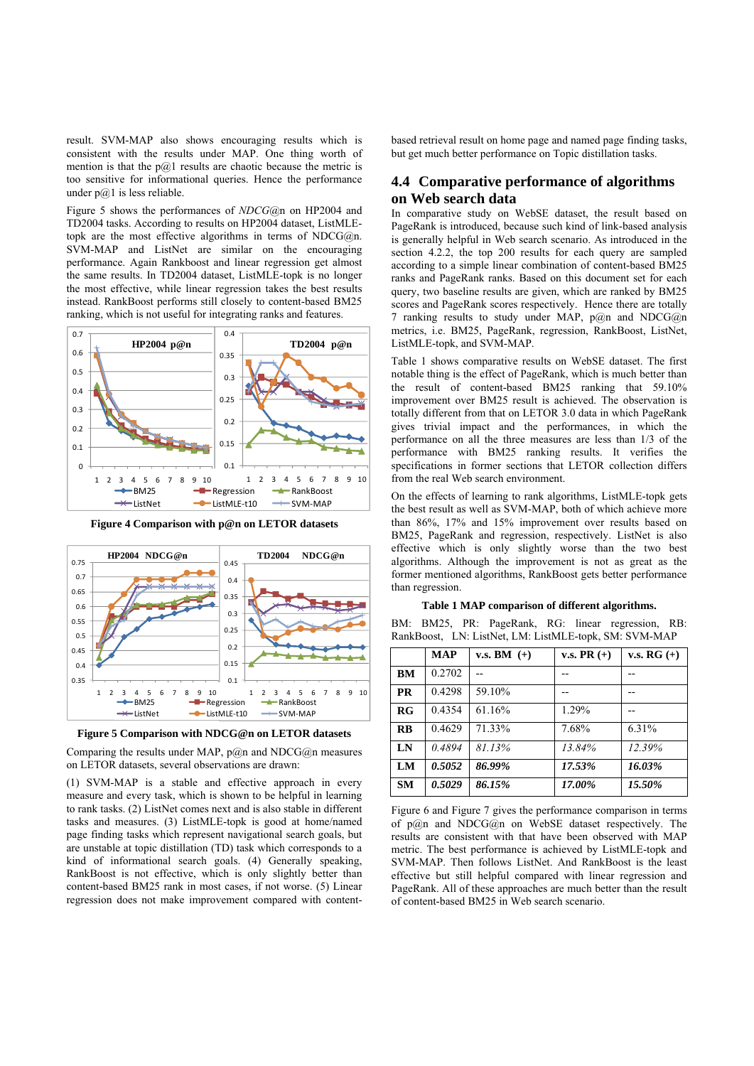result. SVM-MAP also shows encouraging results which is consistent with the results under MAP. One thing worth of mention is that the  $p(a)$  results are chaotic because the metric is too sensitive for informational queries. Hence the performance under  $p(a)$ 1 is less reliable.

Figure 5 shows the performances of *NDCG*@n on HP2004 and TD2004 tasks. According to results on HP2004 dataset, ListMLEtopk are the most effective algorithms in terms of NDCG $@n$ . SVM-MAP and ListNet are similar on the encouraging performance. Again Rankboost and linear regression get almost the same results. In TD2004 dataset, ListMLE-topk is no longer the most effective, while linear regression takes the best results instead. RankBoost performs still closely to content-based BM25 ranking, which is not useful for integrating ranks and features.



**Figure 4 Comparison with p@n on LETOR datasets** 





Comparing the results under MAP,  $p(a)$ n and NDCG $(a)$ n measures on LETOR datasets, several observations are drawn:

(1) SVM-MAP is a stable and effective approach in every measure and every task, which is shown to be helpful in learning to rank tasks. (2) ListNet comes next and is also stable in different tasks and measures. (3) ListMLE-topk is good at home/named page finding tasks which represent navigational search goals, but are unstable at topic distillation (TD) task which corresponds to a kind of informational search goals. (4) Generally speaking, RankBoost is not effective, which is only slightly better than content-based BM25 rank in most cases, if not worse. (5) Linear regression does not make improvement compared with contentbased retrieval result on home page and named page finding tasks, but get much better performance on Topic distillation tasks.

## **4.4 Comparative performance of algorithms on Web search data**

In comparative study on WebSE dataset, the result based on PageRank is introduced, because such kind of link-based analysis is generally helpful in Web search scenario. As introduced in the section 4.2.2, the top 200 results for each query are sampled according to a simple linear combination of content-based BM25 ranks and PageRank ranks. Based on this document set for each query, two baseline results are given, which are ranked by BM25 scores and PageRank scores respectively. Hence there are totally 7 ranking results to study under MAP,  $p(a)$ n and NDCG $(a)$ n metrics, i.e. BM25, PageRank, regression, RankBoost, ListNet, ListMLE-topk, and SVM-MAP.

Table 1 shows comparative results on WebSE dataset. The first notable thing is the effect of PageRank, which is much better than the result of content-based BM25 ranking that 59.10% improvement over BM25 result is achieved. The observation is totally different from that on LETOR 3.0 data in which PageRank gives trivial impact and the performances, in which the performance on all the three measures are less than 1/3 of the performance with BM25 ranking results. It verifies the specifications in former sections that LETOR collection differs from the real Web search environment.

On the effects of learning to rank algorithms, ListMLE-topk gets the best result as well as SVM-MAP, both of which achieve more than 86%, 17% and 15% improvement over results based on BM25, PageRank and regression, respectively. ListNet is also effective which is only slightly worse than the two best algorithms. Although the improvement is not as great as the former mentioned algorithms, RankBoost gets better performance than regression.

#### **Table 1 MAP comparison of different algorithms.**

BM: BM25, PR: PageRank, RG: linear regression, RB: RankBoost, LN: ListNet, LM: ListMLE-topk, SM: SVM-MAP

|                               | <b>MAP</b> | v.s. BM $(+)$ | v.s. PR $(+)$ | <b>v.s. RG</b> $(+)$ |
|-------------------------------|------------|---------------|---------------|----------------------|
| BM                            | 0.2702     |               |               |                      |
| <b>PR</b>                     | 0.4298     | 59.10%        |               |                      |
| $R$ <sup><math>G</math></sup> | 0.4354     | 61.16%        | 1.29%         |                      |
| $\overline{RB}$               | 0.4629     | 71.33%        | 7.68%         | 6.31%                |
| LN                            | 0.4894     | 81.13%        | 13.84%        | 12.39%               |
| LM                            | 0.5052     | 86.99%        | 17.53%        | 16.03%               |
| <b>SM</b>                     | 0.5029     | 86.15%        | 17.00%        | 15.50%               |

Figure 6 and Figure 7 gives the performance comparison in terms of  $p(a)$ n and NDCG $(a)$ n on WebSE dataset respectively. The results are consistent with that have been observed with MAP metric. The best performance is achieved by ListMLE-topk and SVM-MAP. Then follows ListNet. And RankBoost is the least effective but still helpful compared with linear regression and PageRank. All of these approaches are much better than the result of content-based BM25 in Web search scenario.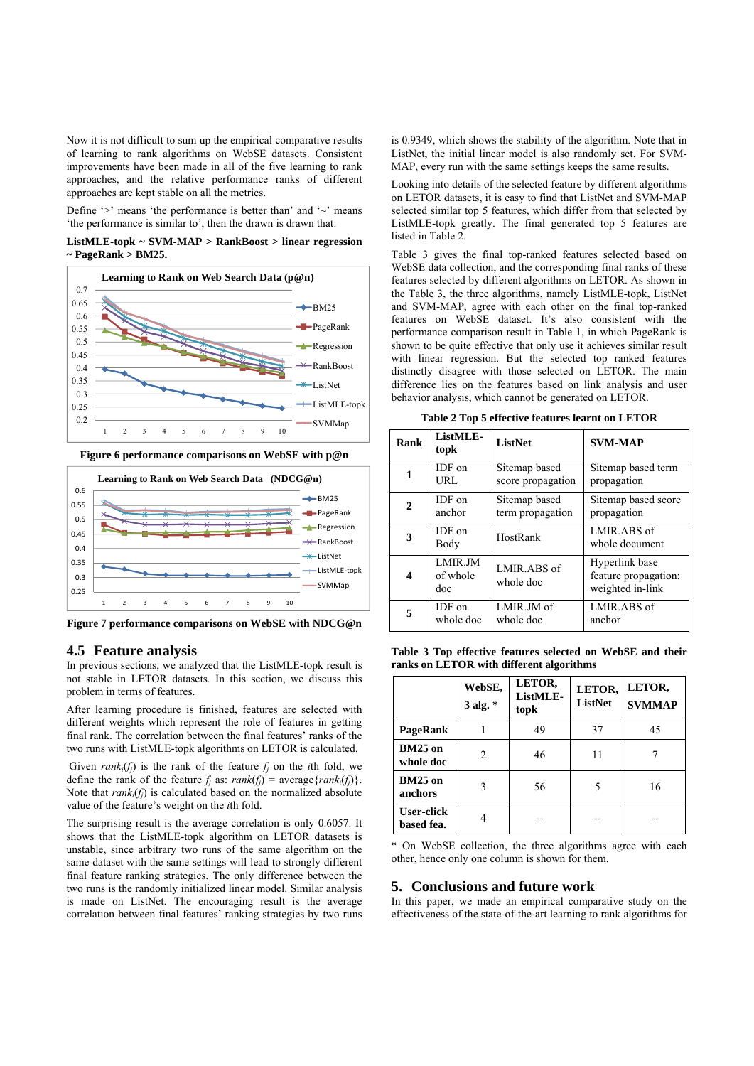Now it is not difficult to sum up the empirical comparative results of learning to rank algorithms on WebSE datasets. Consistent improvements have been made in all of the five learning to rank approaches, and the relative performance ranks of different approaches are kept stable on all the metrics.

Define  $\sim$ ' means 'the performance is better than' and  $\sim$ ' means 'the performance is similar to', then the drawn is drawn that:

**ListMLE-topk ~ SVM-MAP > RankBoost > linear regression ~ PageRank > BM25.** 



**Figure 6 performance comparisons on WebSE with p@n**



**Figure 7 performance comparisons on WebSE with NDCG@n** 

#### **4.5 Feature analysis**

In previous sections, we analyzed that the ListMLE-topk result is not stable in LETOR datasets. In this section, we discuss this problem in terms of features.

After learning procedure is finished, features are selected with different weights which represent the role of features in getting final rank. The correlation between the final features' ranks of the two runs with ListMLE-topk algorithms on LETOR is calculated.

Given  $rank_i(f_i)$  is the rank of the feature  $f_i$  on the *i*th fold, we define the rank of the feature  $f_i$  as:  $rank(f_i)$  = average {*rank<sub>i</sub>*( $f_i$ )}. Note that  $rank_i(f_i)$  is calculated based on the normalized absolute value of the feature's weight on the *i*th fold.

The surprising result is the average correlation is only 0.6057. It shows that the ListMLE-topk algorithm on LETOR datasets is unstable, since arbitrary two runs of the same algorithm on the same dataset with the same settings will lead to strongly different final feature ranking strategies. The only difference between the two runs is the randomly initialized linear model. Similar analysis is made on ListNet. The encouraging result is the average correlation between final features' ranking strategies by two runs

is 0.9349, which shows the stability of the algorithm. Note that in ListNet, the initial linear model is also randomly set. For SVM-MAP, every run with the same settings keeps the same results.

Looking into details of the selected feature by different algorithms on LETOR datasets, it is easy to find that ListNet and SVM-MAP selected similar top 5 features, which differ from that selected by ListMLE-topk greatly. The final generated top 5 features are listed in Table 2.

Table 3 gives the final top-ranked features selected based on WebSE data collection, and the corresponding final ranks of these features selected by different algorithms on LETOR. As shown in the Table 3, the three algorithms, namely ListMLE-topk, ListNet and SVM-MAP, agree with each other on the final top-ranked features on WebSE dataset. It's also consistent with the performance comparison result in Table 1, in which PageRank is shown to be quite effective that only use it achieves similar result with linear regression. But the selected top ranked features distinctly disagree with those selected on LETOR. The main difference lies on the features based on link analysis and user behavior analysis, which cannot be generated on LETOR.

**Table 2 Top 5 effective features learnt on LETOR** 

| Rank         | ListMLE-<br>topk           | <b>ListNet</b>                     | <b>SVM-MAP</b>                                             |  |
|--------------|----------------------------|------------------------------------|------------------------------------------------------------|--|
| 1            | IDF on<br>URL              | Sitemap based<br>score propagation | Sitemap based term<br>propagation                          |  |
| $\mathbf{2}$ | IDF on<br>anchor           | Sitemap based<br>term propagation  | Sitemap based score<br>propagation                         |  |
| 3            | IDF on<br>Body             | HostRank                           | LMIR.ABS of<br>whole document                              |  |
| 4            | LMIR JM<br>of whole<br>doc | LMIR ABS of<br>whole doc           | Hyperlink base<br>feature propagation:<br>weighted in-link |  |
| 5            | IDF on<br>whole doc        | LMIR.JM of<br>whole doc            | LMIR ABS of<br>anchor                                      |  |

**Table 3 Top effective features selected on WebSE and their ranks on LETOR with different algorithms** 

|                                 | WebSE,<br>$3$ alg. $*$ | LETOR,<br>ListMLE-<br>topk | LETOR,<br><b>ListNet</b> | LETOR,<br><b>SVMMAP</b> |
|---------------------------------|------------------------|----------------------------|--------------------------|-------------------------|
| PageRank                        |                        | 49                         | 37                       | 45                      |
| <b>BM25</b> on<br>whole doc     | $\mathcal{L}$          | 46                         | 11                       |                         |
| <b>BM25</b> on<br>anchors       |                        | 56                         | 5                        | 16                      |
| <b>User-click</b><br>based fea. |                        |                            |                          |                         |

\* On WebSE collection, the three algorithms agree with each other, hence only one column is shown for them.

#### **5. Conclusions and future work**

In this paper, we made an empirical comparative study on the effectiveness of the state-of-the-art learning to rank algorithms for